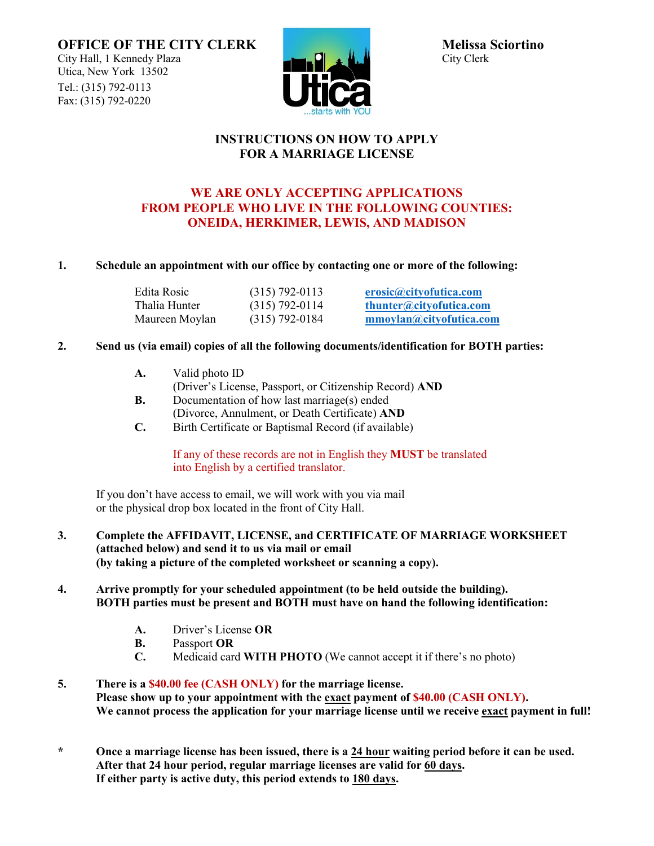**OFFICE OF THE CITY CLERK** Melissa Sciortino<br>City Hall, 1 Kennedy Plaza Melissa Sciortino City Hall, 1 Kennedy Plaza Utica, New York 13502 Tel.: (315) 792-0113 Fax: (315) 792-0220



### **INSTRUCTIONS ON HOW TO APPLY FOR A MARRIAGE LICENSE**

# **WE ARE ONLY ACCEPTING APPLICATIONS FROM PEOPLE WHO LIVE IN THE FOLLOWING COUNTIES: ONEIDA, HERKIMER, LEWIS, AND MADISON**

### **1. Schedule an appointment with our office by contacting one or more of the following:**

| Edita Rosic    | $(315)$ 792-0113 | erosic@cityofutica.com  |
|----------------|------------------|-------------------------|
| Thalia Hunter  | $(315)$ 792-0114 | thunter@cityofutica.com |
| Maureen Moylan | $(315)$ 792-0184 | mmoylan@cityofutica.com |

### **2. Send us (via email) copies of all the following documents/identification for BOTH parties:**

- **A.** Valid photo ID
- (Driver's License, Passport, or Citizenship Record) **AND**
- **B.** Documentation of how last marriage(s) ended (Divorce, Annulment, or Death Certificate) **AND**
- **C.** Birth Certificate or Baptismal Record (if available)

If any of these records are not in English they **MUST** be translated into English by a certified translator.

If you don't have access to email, we will work with you via mail or the physical drop box located in the front of City Hall.

**3. Complete the AFFIDAVIT, LICENSE, and CERTIFICATE OF MARRIAGE WORKSHEET (attached below) and send it to us via mail or email (by taking a picture of the completed worksheet or scanning a copy).**

#### **4. Arrive promptly for your scheduled appointment (to be held outside the building). BOTH parties must be present and BOTH must have on hand the following identification:**

- **A.** Driver's License **OR**
- **B.** Passport **OR**
- **C.** Medicaid card **WITH PHOTO** (We cannot accept it if there's no photo)
- **5. There is a \$40.00 fee (CASH ONLY) for the marriage license. Please show up to your appointment with the exact payment of \$40.00 (CASH ONLY). We cannot process the application for your marriage license until we receive exact payment in full!**
- **\* Once a marriage license has been issued, there is a 24 hour waiting period before it can be used. After that 24 hour period, regular marriage licenses are valid for 60 days. If either party is active duty, this period extends to 180 days.**